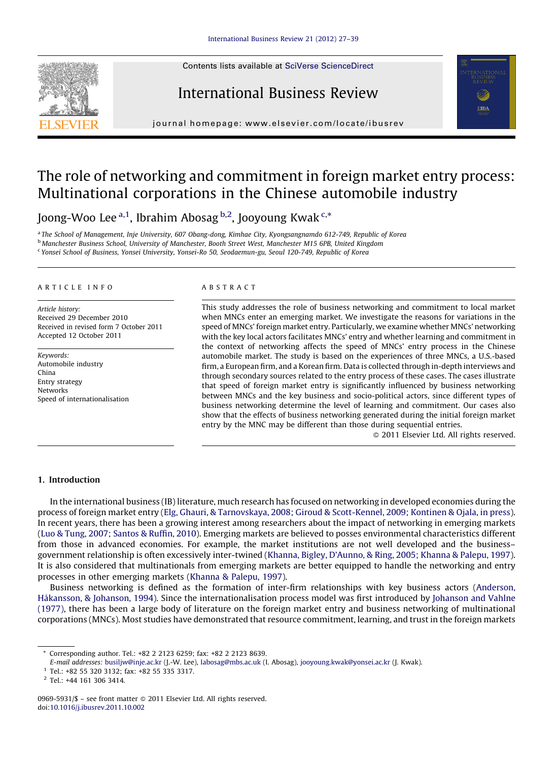Contents lists available at SciVerse [ScienceDirect](http://www.sciencedirect.com/science/journal/09695931)

# International Business Review



journal homepage: www.elsevier.com/locate/ibusrev

# The role of networking and commitment in foreign market entry process: Multinational corporations in the Chinese automobile industry

Joong-Woo Lee <sup>a, 1</sup>, Ibrahim Abosag <sup>b,2</sup>, Jooyoung Kwak <sup>c,</sup>\*

<sup>a</sup> The School of Management, Inje University, 607 Obang-dong, Kimhae City, Kyongsangnamdo 612-749, Republic of Korea

<sup>b</sup> Manchester Business School, University of Manchester, Booth Street West, Manchester M15 6PB, United Kingdom

<sup>c</sup> Yonsei School of Business, Yonsei University, Yonsei-Ro 50, Seodaemun-gu, Seoul 120-749, Republic of Korea

#### A R T I C L E I N F O

Article history: Received 29 December 2010 Received in revised form 7 October 2011 Accepted 12 October 2011

Keywords: Automobile industry China Entry strategy Networks Speed of internationalisation

### A B S T R A C T

This study addresses the role of business networking and commitment to local market when MNCs enter an emerging market. We investigate the reasons for variations in the speed of MNCs' foreign market entry. Particularly, we examine whether MNCs' networking with the key local actors facilitates MNCs' entry and whether learning and commitment in the context of networking affects the speed of MNCs' entry process in the Chinese automobile market. The study is based on the experiences of three MNCs, a U.S.-based firm, a European firm, and a Korean firm. Data is collected through in-depth interviews and through secondary sources related to the entry process of these cases. The cases illustrate that speed of foreign market entry is significantly influenced by business networking between MNCs and the key business and socio-political actors, since different types of business networking determine the level of learning and commitment. Our cases also show that the effects of business networking generated during the initial foreign market entry by the MNC may be different than those during sequential entries.

- 2011 Elsevier Ltd. All rights reserved.

# 1. Introduction

In the international business (IB) literature, much research has focused on networking in developed economies during the process of foreign market entry (Elg, Ghauri, & Tarnovskaya, 2008; Giroud & [Scott-Kennel,](#page--1-0) 2009; Kontinen & Ojala, in press). In recent years, there has been a growing interest among researchers about the impact of networking in emerging markets (Luo & Tung, 2007; [Santos](#page--1-0) & Ruffin, 2010). Emerging markets are believed to posses environmental characteristics different from those in advanced economies. For example, the market institutions are not well developed and the business– government relationship is often excessively inter-twined (Khanna, Bigley, [D'Aunno,](#page--1-0) & Ring, 2005; Khanna & Palepu, 1997). It is also considered that multinationals from emerging markets are better equipped to handle the networking and entry processes in other emerging markets [\(Khanna](#page--1-0) & Palepu, 1997).

Business networking is defined as the formation of inter-firm relationships with key business actors ([Anderson,](#page--1-0) Håkansson, & [Johanson,](#page--1-0) 1994). Since the internationalisation process model was first introduced by [Johanson](#page--1-0) and Vahlne [\(1977\)](#page--1-0), there has been a large body of literature on the foreign market entry and business networking of multinational corporations (MNCs). Most studies have demonstrated that resource commitment, learning, and trust in the foreign markets

<sup>\*</sup> Corresponding author. Tel.: +82 2 2123 6259; fax: +82 2 2123 8639.

E-mail addresses: [busiljw@inje.ac.kr](mailto:busiljw@inje.ac.kr) (J.-W. Lee), [Iabosag@mbs.ac.uk](mailto:Iabosag@mbs.ac.uk) (I. Abosag), [jooyoung.kwak@yonsei.ac.kr](mailto:jooyoung.kwak@yonsei.ac.kr) (J. Kwak).

<sup>1</sup> Tel.: +82 55 320 3132; fax: +82 55 335 3317.

<sup>2</sup> Tel.: +44 161 306 3414.

<sup>0969-5931/\$ –</sup> see front matter © 2011 Elsevier Ltd. All rights reserved. doi:[10.1016/j.ibusrev.2011.10.002](http://dx.doi.org/10.1016/j.ibusrev.2011.10.002)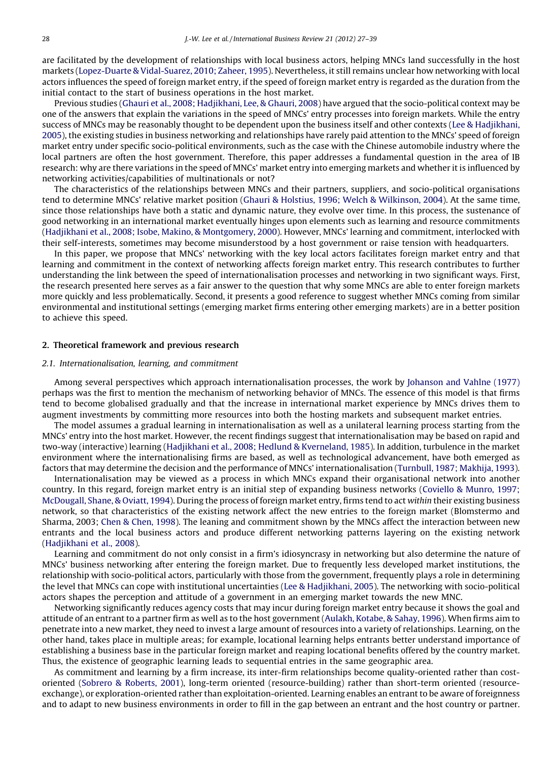are facilitated by the development of relationships with local business actors, helping MNCs land successfully in the host markets ([Lopez-Duarte](#page--1-0) & Vidal-Suarez, 2010; Zaheer, 1995). Nevertheless, it still remains unclear how networking with local actors influences the speed of foreign market entry, if the speed of foreign market entry is regarded as the duration from the initial contact to the start of business operations in the host market.

Previous studies (Ghauri et al., 2008; [Hadjikhani,](#page--1-0) Lee, & Ghauri, 2008) have argued that the socio-political context may be one of the answers that explain the variations in the speed of MNCs' entry processes into foreign markets. While the entry success of MNCs may be reasonably thought to be dependent upon the business itself and other contexts (Lee & [Hadjikhani,](#page--1-0) [2005](#page--1-0)), the existing studies in business networking and relationships have rarely paid attention to the MNCs' speed of foreign market entry under specific socio-political environments, such as the case with the Chinese automobile industry where the local partners are often the host government. Therefore, this paper addresses a fundamental question in the area of IB research: why are there variations in the speed of MNCs' market entry into emerging markets and whether it is influenced by networking activities/capabilities of multinationals or not?

The characteristics of the relationships between MNCs and their partners, suppliers, and socio-political organisations tend to determine MNCs' relative market position (Ghauri & Holstius, 1996; Welch & [Wilkinson,](#page--1-0) 2004). At the same time, since those relationships have both a static and dynamic nature, they evolve over time. In this process, the sustenance of good networking in an international market eventually hinges upon elements such as learning and resource commitments (Hadjikhani et al., 2008; Isobe, Makino, & [Montgomery,](#page--1-0) 2000). However, MNCs' learning and commitment, interlocked with their self-interests, sometimes may become misunderstood by a host government or raise tension with headquarters.

In this paper, we propose that MNCs' networking with the key local actors facilitates foreign market entry and that learning and commitment in the context of networking affects foreign market entry. This research contributes to further understanding the link between the speed of internationalisation processes and networking in two significant ways. First, the research presented here serves as a fair answer to the question that why some MNCs are able to enter foreign markets more quickly and less problematically. Second, it presents a good reference to suggest whether MNCs coming from similar environmental and institutional settings (emerging market firms entering other emerging markets) are in a better position to achieve this speed.

## 2. Theoretical framework and previous research

## 2.1. Internationalisation, learning, and commitment

Among several perspectives which approach internationalisation processes, the work by [Johanson](#page--1-0) and Vahlne (1977) perhaps was the first to mention the mechanism of networking behavior of MNCs. The essence of this model is that firms tend to become globalised gradually and that the increase in international market experience by MNCs drives them to augment investments by committing more resources into both the hosting markets and subsequent market entries.

The model assumes a gradual learning in internationalisation as well as a unilateral learning process starting from the MNCs' entry into the host market. However, the recent findings suggest that internationalisation may be based on rapid and two-way (interactive) learning (Hadjikhani et al., 2008; Hedlund & [Kverneland,](#page--1-0) 1985). In addition, turbulence in the market environment where the internationalising firms are based, as well as technological advancement, have both emerged as factors that may determine the decision and the performance of MNCs' internationalisation [\(Turnbull,](#page--1-0) 1987; Makhija, 1993).

Internationalisation may be viewed as a process in which MNCs expand their organisational network into another country. In this regard, foreign market entry is an initial step of expanding business networks [\(Coviello](#page--1-0) & Munro, 1997; [McDougall,](#page--1-0) Shane, & Oviatt, 1994). During the process of foreign market entry, firms tend to act within their existing business network, so that characteristics of the existing network affect the new entries to the foreign market (Blomstermo and Sharma, 2003; Chen & [Chen,](#page--1-0) 1998). The leaning and commitment shown by the MNCs affect the interaction between new entrants and the local business actors and produce different networking patterns layering on the existing network [\(Hadjikhani](#page--1-0) et al., 2008).

Learning and commitment do not only consist in a firm's idiosyncrasy in networking but also determine the nature of MNCs' business networking after entering the foreign market. Due to frequently less developed market institutions, the relationship with socio-political actors, particularly with those from the government, frequently plays a role in determining the level that MNCs can cope with institutional uncertainties (Lee & [Hadjikhani,](#page--1-0) 2005). The networking with socio-political actors shapes the perception and attitude of a government in an emerging market towards the new MNC.

Networking significantly reduces agency costs that may incur during foreign market entry because it shows the goal and attitude of an entrant to a partner firm as well as to the host government [\(Aulakh,](#page--1-0) Kotabe, & Sahay, 1996). When firms aim to penetrate into a new market, they need to invest a large amount of resources into a variety of relationships. Learning, on the other hand, takes place in multiple areas; for example, locational learning helps entrants better understand importance of establishing a business base in the particular foreign market and reaping locational benefits offered by the country market. Thus, the existence of geographic learning leads to sequential entries in the same geographic area.

As commitment and learning by a firm increase, its inter-firm relationships become quality-oriented rather than costoriented (Sobrero & [Roberts,](#page--1-0) 2001), long-term oriented (resource-building) rather than short-term oriented (resourceexchange), or exploration-oriented rather than exploitation-oriented. Learning enables an entrantto be aware of foreignness and to adapt to new business environments in order to fill in the gap between an entrant and the host country or partner.